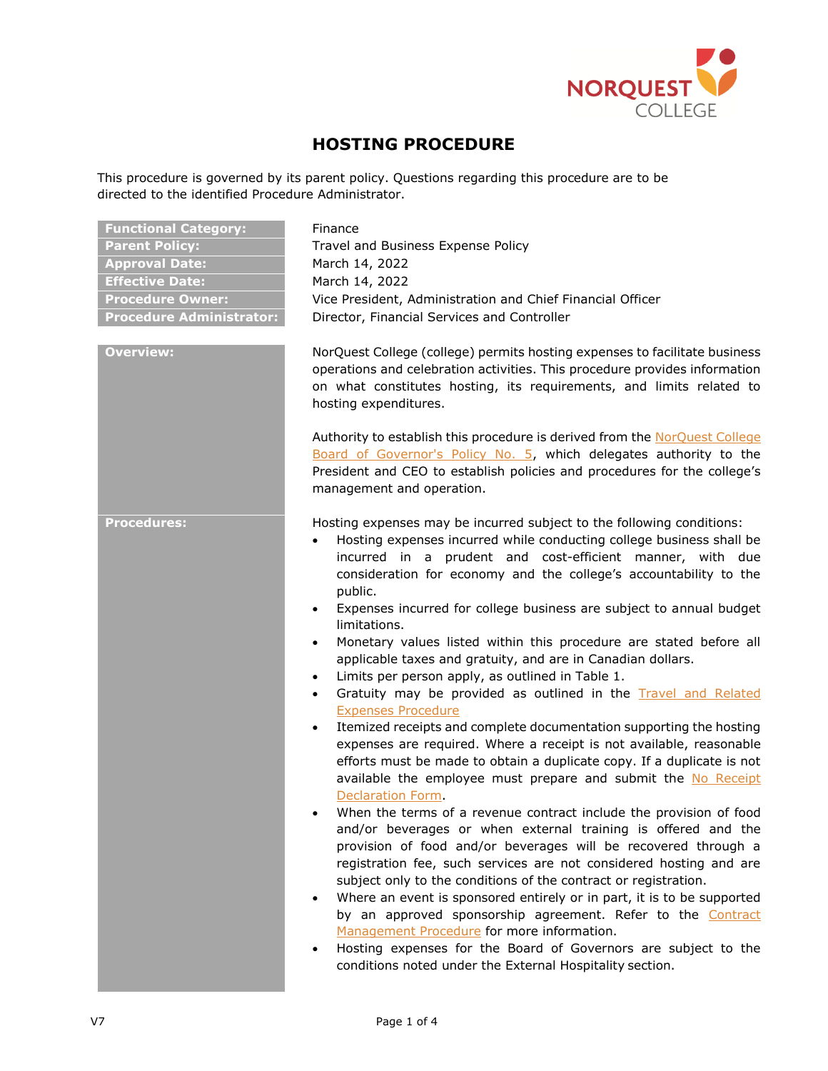

# **HOSTING PROCEDURE**

This procedure is governed by its parent policy. Questions regarding this procedure are to be directed to the identified Procedure Administrator.

| <b>Functional Category:</b><br><b>Parent Policy:</b><br><b>Approval Date:</b><br><b>Effective Date:</b><br><b>Procedure Owner:</b><br><b>Procedure Administrator:</b><br><b>Overview:</b> | Finance<br>Travel and Business Expense Policy<br>March 14, 2022<br>March 14, 2022<br>Vice President, Administration and Chief Financial Officer<br>Director, Financial Services and Controller                                                                                                                                                                                                                                                                                                                                                                                                                                                                                                                                                                                                                                                                                                                                                                                                                                                                                                                                                                                                                                                                                                                                                                                                                                                                                                                                                                                                                                                                                                                                                            |  |
|-------------------------------------------------------------------------------------------------------------------------------------------------------------------------------------------|-----------------------------------------------------------------------------------------------------------------------------------------------------------------------------------------------------------------------------------------------------------------------------------------------------------------------------------------------------------------------------------------------------------------------------------------------------------------------------------------------------------------------------------------------------------------------------------------------------------------------------------------------------------------------------------------------------------------------------------------------------------------------------------------------------------------------------------------------------------------------------------------------------------------------------------------------------------------------------------------------------------------------------------------------------------------------------------------------------------------------------------------------------------------------------------------------------------------------------------------------------------------------------------------------------------------------------------------------------------------------------------------------------------------------------------------------------------------------------------------------------------------------------------------------------------------------------------------------------------------------------------------------------------------------------------------------------------------------------------------------------------|--|
|                                                                                                                                                                                           | NorQuest College (college) permits hosting expenses to facilitate business<br>operations and celebration activities. This procedure provides information<br>on what constitutes hosting, its requirements, and limits related to<br>hosting expenditures.<br>Authority to establish this procedure is derived from the NorQuest College<br>Board of Governor's Policy No. 5, which delegates authority to the<br>President and CEO to establish policies and procedures for the college's<br>management and operation.                                                                                                                                                                                                                                                                                                                                                                                                                                                                                                                                                                                                                                                                                                                                                                                                                                                                                                                                                                                                                                                                                                                                                                                                                                    |  |
| <b>Procedures:</b>                                                                                                                                                                        | Hosting expenses may be incurred subject to the following conditions:<br>Hosting expenses incurred while conducting college business shall be<br>$\bullet$<br>incurred in a prudent and cost-efficient manner, with due<br>consideration for economy and the college's accountability to the<br>public.<br>Expenses incurred for college business are subject to annual budget<br>$\bullet$<br>limitations.<br>Monetary values listed within this procedure are stated before all<br>$\bullet$<br>applicable taxes and gratuity, and are in Canadian dollars.<br>Limits per person apply, as outlined in Table 1.<br>$\bullet$<br>Gratuity may be provided as outlined in the Travel and Related<br>$\bullet$<br><b>Expenses Procedure</b><br>Itemized receipts and complete documentation supporting the hosting<br>$\bullet$<br>expenses are required. Where a receipt is not available, reasonable<br>efforts must be made to obtain a duplicate copy. If a duplicate is not<br>available the employee must prepare and submit the No Receipt<br>Declaration Form.<br>When the terms of a revenue contract include the provision of food<br>and/or beverages or when external training is offered and the<br>provision of food and/or beverages will be recovered through a<br>registration fee, such services are not considered hosting and are<br>subject only to the conditions of the contract or registration.<br>Where an event is sponsored entirely or in part, it is to be supported<br>$\bullet$<br>by an approved sponsorship agreement. Refer to the Contract<br>Management Procedure for more information.<br>Hosting expenses for the Board of Governors are subject to the<br>conditions noted under the External Hospitality section. |  |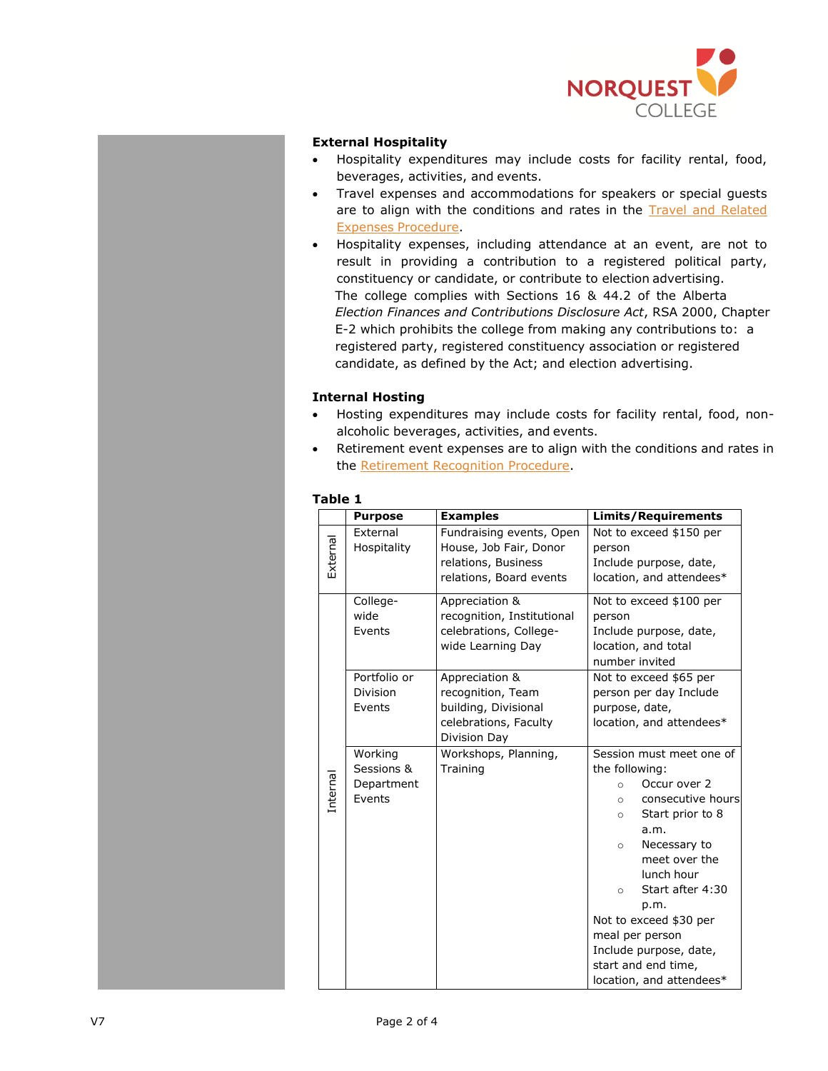

## **External Hospitality**

- Hospitality expenditures may include costs for facility rental, food, beverages, activities, and events.
- Travel expenses and accommodations for speakers or special guests are to align with the conditions and rates in the **Travel and Related** Expenses [Procedure.](https://www.norquest.ca/about-us/policies-procedures/finance/travel-and-business-expense-policy/travel-and-related-expenses-procedure.aspx)
- Hospitality expenses, including attendance at an event, are not to result in providing a contribution to a registered political party, constituency or candidate, or contribute to election advertising. The college complies with Sections 16 & 44.2 of the Alberta *Election Finances and Contributions Disclosure Act*, RSA 2000, Chapter E-2 which prohibits the college from making any contributions to: a registered party, registered constituency association or registered candidate, as defined by the Act; and election advertising.

# **Internal Hosting**

- Hosting expenditures may include costs for facility rental, food, nonalcoholic beverages, activities, and events.
- Retirement event expenses are to align with the conditions and rates in the [Retirement Recognition Procedure.](https://www.norquest.ca/about-us/policies-procedures/human-resources/compensation-policy/retirement-recognition-procedure.aspx)

### **Table 1**

|          | <b>Purpose</b>                                | <b>Examples</b>                                                                                      | <b>Limits/Requirements</b>                                                                                                                                                                                                                                                                                                                                              |
|----------|-----------------------------------------------|------------------------------------------------------------------------------------------------------|-------------------------------------------------------------------------------------------------------------------------------------------------------------------------------------------------------------------------------------------------------------------------------------------------------------------------------------------------------------------------|
| External | External<br>Hospitality                       | Fundraising events, Open<br>House, Job Fair, Donor<br>relations, Business<br>relations, Board events | Not to exceed \$150 per<br>person<br>Include purpose, date,<br>location, and attendees*                                                                                                                                                                                                                                                                                 |
| Internal | College-<br>wide<br>Events                    | Appreciation &<br>recognition, Institutional<br>celebrations, College-<br>wide Learning Day          | Not to exceed \$100 per<br>person<br>Include purpose, date,<br>location, and total<br>number invited                                                                                                                                                                                                                                                                    |
|          | Portfolio or<br>Division<br>Events            | Appreciation &<br>recognition, Team<br>building, Divisional<br>celebrations, Faculty<br>Division Day | Not to exceed \$65 per<br>person per day Include<br>purpose, date,<br>location, and attendees*                                                                                                                                                                                                                                                                          |
|          | Working<br>Sessions &<br>Department<br>Events | Workshops, Planning,<br>Training                                                                     | Session must meet one of<br>the following:<br>Occur over 2<br>$\circ$<br>consecutive hours<br>$\circ$<br>Start prior to 8<br>$\circ$<br>a.m.<br>Necessary to<br>$\circ$<br>meet over the<br>lunch hour<br>Start after 4:30<br>$\circ$<br>p.m.<br>Not to exceed \$30 per<br>meal per person<br>Include purpose, date,<br>start and end time,<br>location, and attendees* |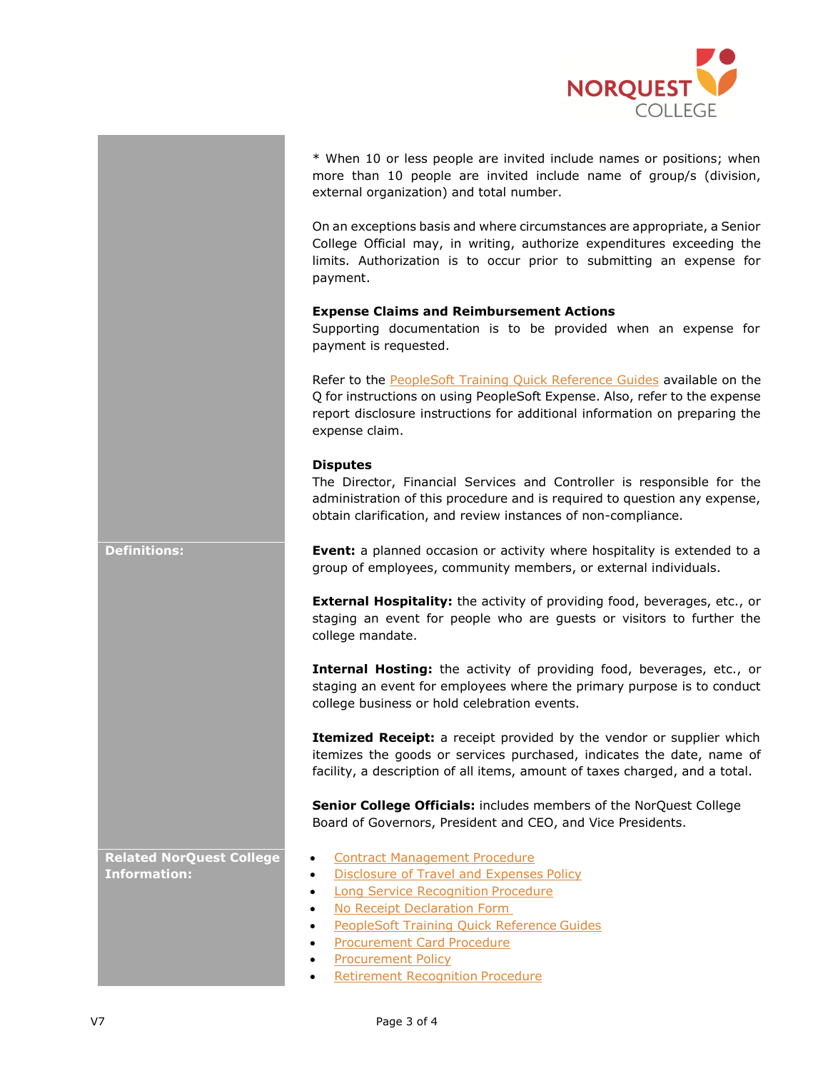

\* When 10 or less people are invited include names or positions; when more than 10 people are invited include name of group/s (division, external organization) and total number.

On an exceptions basis and where circumstances are appropriate, a Senior College Official may, in writing, authorize expenditures exceeding the limits. Authorization is to occur prior to submitting an expense for payment.

### **Expense Claims and Reimbursement Actions**

Supporting documentation is to be provided when an expense for payment is requested.

Refer to the **PeopleSoft Training Quick Reference Guides** available on the Q for instructions on using PeopleSoft Expense. Also, refer to the expense report disclosure instructions for additional information on preparing the expense claim.

### **Disputes**

The Director, Financial Services and Controller is responsible for the administration of this procedure and is required to question any expense, obtain clarification, and review instances of non-compliance.

**Definitions: Event:** a planned occasion or activity where hospitality is extended to a group of employees, community members, or external individuals.

> **External Hospitality:** the activity of providing food, beverages, etc., or staging an event for people who are guests or visitors to further the college mandate.

> **Internal Hosting:** the activity of providing food, beverages, etc., or staging an event for employees where the primary purpose is to conduct college business or hold celebration events.

> **Itemized Receipt:** a receipt provided by the vendor or supplier which itemizes the goods or services purchased, indicates the date, name of facility, a description of all items, amount of taxes charged, and a total.

**Senior College Officials:** includes members of the NorQuest College Board of Governors, President and CEO, and Vice Presidents.

• [Contract Management](https://www.norquest.ca/about-us/policies-procedures/finance/procurement-policy/contract-management-procedure.aspx) Procedure

- [Disclosure of Travel and Expenses](http://www.norquest.ca/about-us/policies-procedures/finance/disclosure-of-travel-and-expenses-policy.aspx) Policy
- [Long Service Recognition](https://www.norquest.ca/about-us/policies-procedures/human-resources/compensation-policy/long-service-recognition-procedures.aspx) Procedure
- [No Receipt Declaration Form](http://theq.norquest.ca/Departments/IPBMFS/Public-Documents/Forms/No-Receipt-Declaration-Form.aspx)
- PeopleSoft Training [Quick Reference](http://theq.norquest.ca/Resources/PeopleSoft-Support/PeopleSoft-Training-Resources.aspx) Guides
- **[Procurement Card](http://www.norquest.ca/about-us/policies-procedures/finance/procurement-policy/procurement-card-procedure.aspx) Procedure**
- [Procurement](http://www.norquest.ca/about-us/policies-procedures/finance/procurement-policy.aspx) Policy
- [Retirement Recognition](http://www.norquest.ca/about-us/policies-procedures/finance/procurement-policy.aspx) Procedure

**Related NorQuest College Information:**